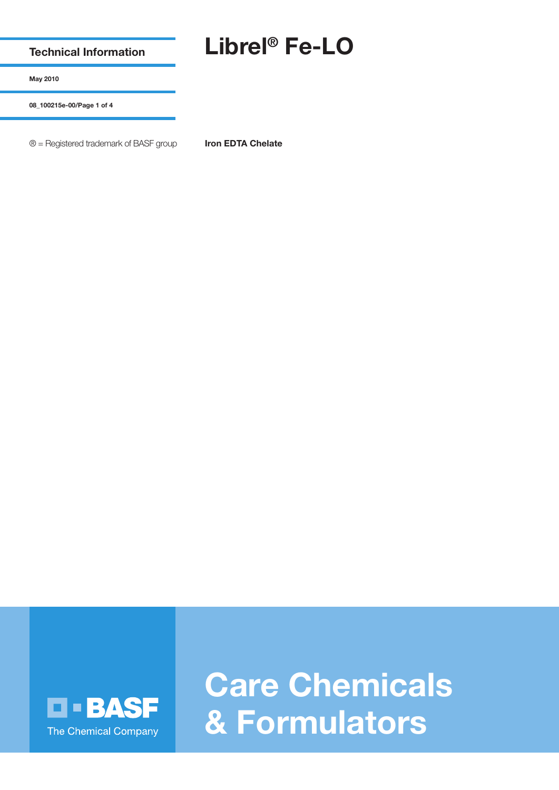**Technical Information**

## **Librel® Fe-LO**

**May 2010**

**08\_100215e-00/Page 1 of 4**

® = Registered trademark of BASF group **Iron EDTA Chelate**



**Care Chemicals & Formulators**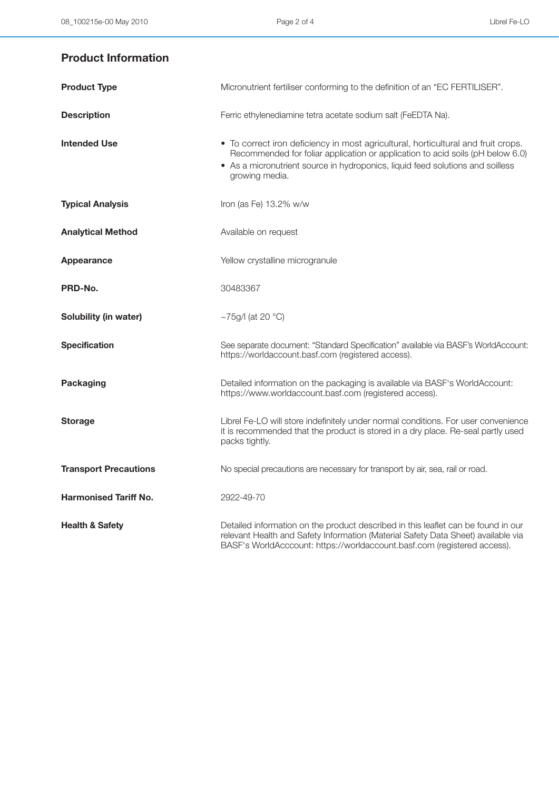## **Product Information**

| <b>Product Type</b>          | Micronutrient fertiliser conforming to the definition of an "EC FERTILISER".                                                                                                                                                                                            |
|------------------------------|-------------------------------------------------------------------------------------------------------------------------------------------------------------------------------------------------------------------------------------------------------------------------|
| <b>Description</b>           | Ferric ethylenediamine tetra acetate sodium salt (FeEDTA Na).                                                                                                                                                                                                           |
| <b>Intended Use</b>          | • To correct iron deficiency in most agricultural, horticultural and fruit crops.<br>Recommended for foliar application or application to acid soils (pH below 6.0)<br>• As a micronutrient source in hydroponics, liquid feed solutions and soilless<br>growing media. |
| <b>Typical Analysis</b>      | Iron (as Fe) 13.2% w/w                                                                                                                                                                                                                                                  |
| <b>Analytical Method</b>     | Available on request                                                                                                                                                                                                                                                    |
| <b>Appearance</b>            | Yellow crystalline microgranule                                                                                                                                                                                                                                         |
| PRD-No.                      | 30483367                                                                                                                                                                                                                                                                |
| Solubility (in water)        | ~75g/l (at 20 $^{\circ}$ C)                                                                                                                                                                                                                                             |
| <b>Specification</b>         | See separate document: "Standard Specification" available via BASF's WorldAccount:<br>https://worldaccount.basf.com (registered access).                                                                                                                                |
| <b>Packaging</b>             | Detailed information on the packaging is available via BASF's WorldAccount:<br>https://www.worldaccount.basf.com (registered access).                                                                                                                                   |
| <b>Storage</b>               | Librel Fe-LO will store indefinitely under normal conditions. For user convenience<br>it is recommended that the product is stored in a dry place. Re-seal partly used<br>packs tightly.                                                                                |
| <b>Transport Precautions</b> | No special precautions are necessary for transport by air, sea, rail or road.                                                                                                                                                                                           |
| <b>Harmonised Tariff No.</b> | 2922-49-70                                                                                                                                                                                                                                                              |
| <b>Health &amp; Safety</b>   | Detailed information on the product described in this leaflet can be found in our<br>relevant Health and Safety Information (Material Safety Data Sheet) available via<br>BASF's WorldAcccount: https://worldaccount.basf.com (registered access).                      |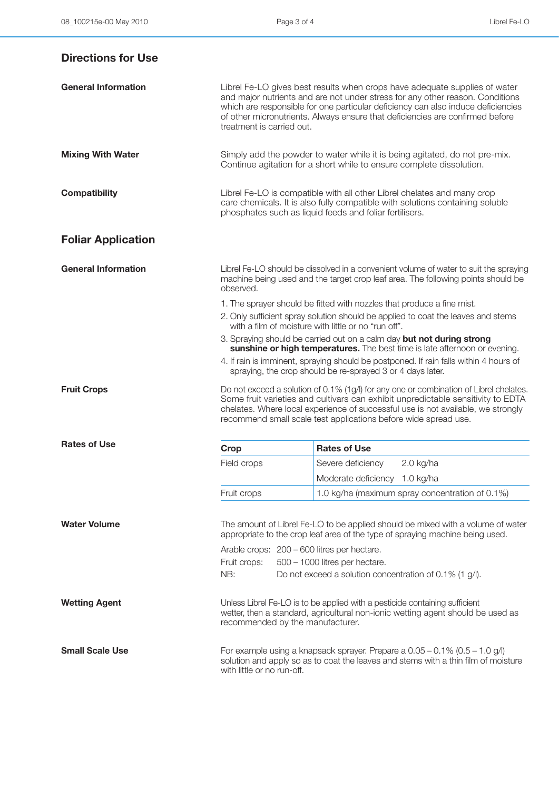| <b>Directions for Use</b>  |                                                                                                                                                                                                                                                                                                                                                               |                                                                                                                                                                                                                                                                                                                                   |  |
|----------------------------|---------------------------------------------------------------------------------------------------------------------------------------------------------------------------------------------------------------------------------------------------------------------------------------------------------------------------------------------------------------|-----------------------------------------------------------------------------------------------------------------------------------------------------------------------------------------------------------------------------------------------------------------------------------------------------------------------------------|--|
| <b>General Information</b> | Librel Fe-LO gives best results when crops have adequate supplies of water<br>and major nutrients and are not under stress for any other reason. Conditions<br>which are responsible for one particular deficiency can also induce deficiencies<br>of other micronutrients. Always ensure that deficiencies are confirmed before<br>treatment is carried out. |                                                                                                                                                                                                                                                                                                                                   |  |
| <b>Mixing With Water</b>   |                                                                                                                                                                                                                                                                                                                                                               | Simply add the powder to water while it is being agitated, do not pre-mix.<br>Continue agitation for a short while to ensure complete dissolution.                                                                                                                                                                                |  |
| <b>Compatibility</b>       | Librel Fe-LO is compatible with all other Librel chelates and many crop<br>care chemicals. It is also fully compatible with solutions containing soluble<br>phosphates such as liquid feeds and foliar fertilisers.                                                                                                                                           |                                                                                                                                                                                                                                                                                                                                   |  |
| <b>Foliar Application</b>  |                                                                                                                                                                                                                                                                                                                                                               |                                                                                                                                                                                                                                                                                                                                   |  |
| <b>General Information</b> | observed.                                                                                                                                                                                                                                                                                                                                                     | Librel Fe-LO should be dissolved in a convenient volume of water to suit the spraying<br>machine being used and the target crop leaf area. The following points should be                                                                                                                                                         |  |
|                            | 1. The sprayer should be fitted with nozzles that produce a fine mist.<br>2. Only sufficient spray solution should be applied to coat the leaves and stems<br>with a film of moisture with little or no "run off".                                                                                                                                            |                                                                                                                                                                                                                                                                                                                                   |  |
|                            |                                                                                                                                                                                                                                                                                                                                                               | 3. Spraying should be carried out on a calm day but not during strong<br>sunshine or high temperatures. The best time is late afternoon or evening.<br>4. If rain is imminent, spraying should be postponed. If rain falls within 4 hours of<br>spraying, the crop should be re-sprayed 3 or 4 days later.                        |  |
| <b>Fruit Crops</b>         |                                                                                                                                                                                                                                                                                                                                                               | Do not exceed a solution of 0.1% (1g/l) for any one or combination of Librel chelates.<br>Some fruit varieties and cultivars can exhibit unpredictable sensitivity to EDTA<br>chelates. Where local experience of successful use is not available, we strongly<br>recommend small scale test applications before wide spread use. |  |
| <b>Rates of Use</b>        | Crop                                                                                                                                                                                                                                                                                                                                                          | <b>Rates of Use</b>                                                                                                                                                                                                                                                                                                               |  |
|                            | Field crops                                                                                                                                                                                                                                                                                                                                                   | $2.0$ kg/ha<br>Severe deficiency                                                                                                                                                                                                                                                                                                  |  |
|                            |                                                                                                                                                                                                                                                                                                                                                               | Moderate deficiency 1.0 kg/ha                                                                                                                                                                                                                                                                                                     |  |
|                            | Fruit crops                                                                                                                                                                                                                                                                                                                                                   | 1.0 kg/ha (maximum spray concentration of 0.1%)                                                                                                                                                                                                                                                                                   |  |
| <b>Water Volume</b>        |                                                                                                                                                                                                                                                                                                                                                               | The amount of Librel Fe-LO to be applied should be mixed with a volume of water<br>appropriate to the crop leaf area of the type of spraying machine being used.                                                                                                                                                                  |  |
|                            | Arable crops: 200 - 600 litres per hectare.<br>Fruit crops:<br>NB:                                                                                                                                                                                                                                                                                            | $500 - 1000$ litres per hectare.<br>Do not exceed a solution concentration of 0.1% (1 g/l).                                                                                                                                                                                                                                       |  |
| <b>Wetting Agent</b>       | recommended by the manufacturer.                                                                                                                                                                                                                                                                                                                              | Unless Librel Fe-LO is to be applied with a pesticide containing sufficient<br>wetter, then a standard, agricultural non-ionic wetting agent should be used as                                                                                                                                                                    |  |
| <b>Small Scale Use</b>     | For example using a knapsack sprayer. Prepare a $0.05 - 0.1\%$ (0.5 – 1.0 g/l)<br>solution and apply so as to coat the leaves and stems with a thin film of moisture<br>with little or no run-off.                                                                                                                                                            |                                                                                                                                                                                                                                                                                                                                   |  |